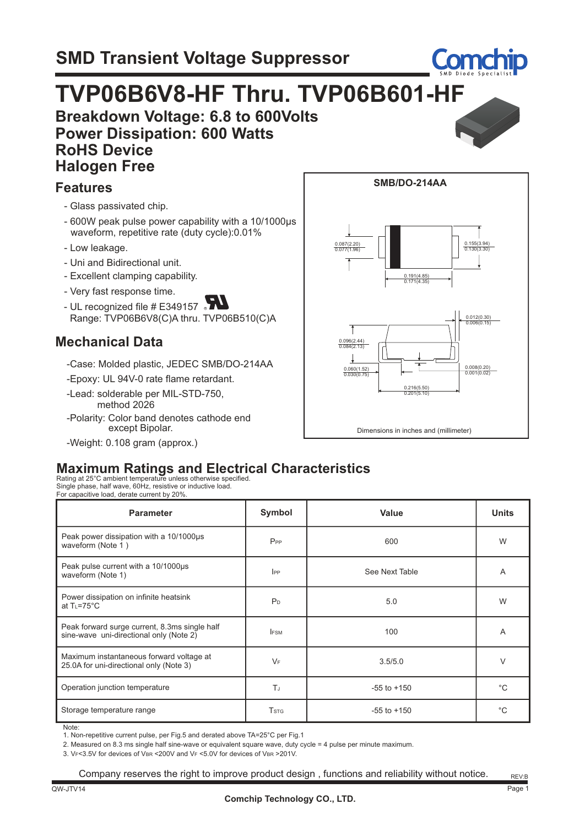

# **TVP06B6V8-HF Thru. TVP06B601-HF**

**Breakdown Voltage: 6.8 to 600Volts Power Dissipation: 600 Watts RoHS Device Halogen Free**

#### **Features**

- Glass passivated chip.
- 600W peak pulse power capability with a 10/1000µs waveform, repetitive rate (duty cycle):0.01%
- Low leakage.
- Uni and Bidirectional unit.
- Excellent clamping capability.
- Very fast response time.



- UL recognized file # E349157  $\cdot$ Range: TVP06B6V8(C)A thru. TVP06B510(C)A

### **Mechanical Data**

- -Case: Molded plastic, JEDEC SMB/DO-214AA
- -Epoxy: UL 94V-0 rate flame retardant.
- -Lead: solderable per MIL-STD-750, method 2026
- -Polarity: Color band denotes cathode end except Bipolar.
- -Weight: 0.108 gram (approx.)



### **Maximum Ratings and Electrical Characteristics**

Rating at 25°C ambient temperature unless otherwise specified. Single phase, half wave, 60Hz, resistive or inductive load. For capacitive load, derate current by 20%.

| <b>Parameter</b>                                                                         | Symbol          | Value           | <b>Units</b> |
|------------------------------------------------------------------------------------------|-----------------|-----------------|--------------|
| Peak power dissipation with a 10/1000µs<br>waveform (Note 1)                             | P <sub>PP</sub> | 600             | W            |
| Peak pulse current with a 10/1000µs<br>waveform (Note 1)                                 | $_{\rm lPP}$    | See Next Table  | A            |
| Power dissipation on infinite heatsink<br>at $T_L = 75^{\circ}C$                         | P <sub>D</sub>  | 5.0             | W            |
| Peak forward surge current, 8.3ms single half<br>sine-wave uni-directional only (Note 2) | <b>IFSM</b>     | 100             | A            |
| Maximum instantaneous forward voltage at<br>25.0A for uni-directional only (Note 3)      | $V_F$           | 3.5/5.0         | V            |
| Operation junction temperature                                                           | $T_{\rm J}$     | $-55$ to $+150$ | $^{\circ}C$  |
| Storage temperature range<br>$k + 1 - 1 - 1$                                             | <b>T</b> stg    | $-55$ to $+150$ | $^{\circ}C$  |

Note:

1. Non-repetitive current pulse, per Fig.5 and derated above TA=25°C per Fig.1

2. Measured on 8.3 ms single half sine-wave or equivalent square wave, duty cycle = 4 pulse per minute maximum.

3. VF<3.5V for devices of VBR <200V and VF <5.0V for devices of VBR >201V.

Company reserves the right to improve product design , functions and reliability without notice.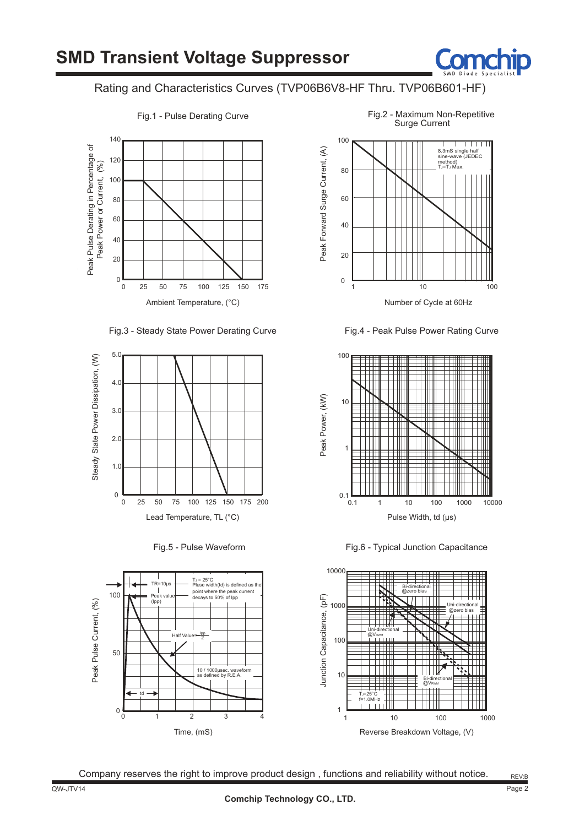

#### Rating and Characteristics Curves (TVP06B6V8-HF Thru. TVP06B601-HF)



Fig.3 - Steady State Power Derating Curve









Fig.2 - Maximum Non-Repetitive





Fig.5 - Pulse Waveform Fig.6 - Typical Junction Capacitance



Company reserves the right to improve product design, functions and reliability without notice.  $R_{\text{REVB}}$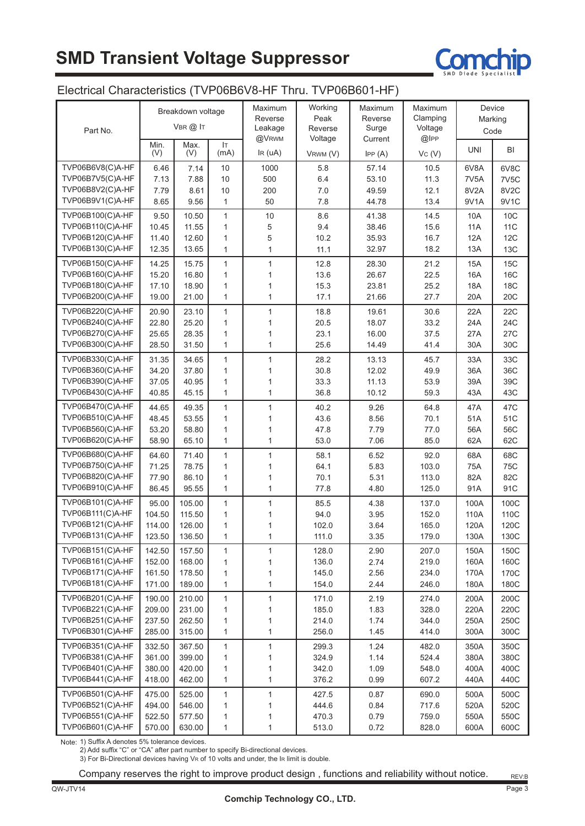# **SMD Transient Voltage Suppressor**



#### Electrical Characteristics (TVP06B6V8-HF Thru. TVP06B601-HF)

| Part No.         | Breakdown voltage<br>$V$ BR $@$ IT |             | Maximum<br>Reverse<br>Leakage |                 | Working<br>Peak<br>Reverse | Maximum<br>Reverse<br>Surge | Maximum<br>Clamping<br>Voltage | Device<br>Marking<br>Code |                   |
|------------------|------------------------------------|-------------|-------------------------------|-----------------|----------------------------|-----------------------------|--------------------------------|---------------------------|-------------------|
|                  | Min.<br>(V)                        | Max.<br>(V) | IT.<br>(mA)                   | @VRWM<br>IR(uA) | Voltage<br>VRWM (V)        | Current<br>IPP(A)           | @IPP<br>Vc(V)                  | <b>UNI</b>                | BI                |
| TVP06B6V8(C)A-HF | 6.46                               | 7.14        | 10                            | 1000            | 5.8                        | 57.14                       | 10.5                           | 6V8A                      | 6V8C              |
| TVP06B7V5(C)A-HF | 7.13                               | 7.88        | 10                            | 500             | 6.4                        | 53.10                       | 11.3                           | 7V <sub>5</sub> A         | 7V <sub>5</sub> C |
| TVP06B8V2(C)A-HF | 7.79                               | 8.61        | 10                            | 200             | $7.0$                      | 49.59                       | 12.1                           | 8V2A                      | 8V <sub>2C</sub>  |
| TVP06B9V1(C)A-HF | 8.65                               | 9.56        | 1                             | 50              | 7.8                        | 44.78                       | 13.4                           | 9V1A                      | 9V1C              |
| TVP06B100(C)A-HF | 9.50                               | 10.50       | $\mathbf{1}$                  | 10              | 8.6                        | 41.38                       | 14.5                           | 10A                       | 10C               |
| TVP06B110(C)A-HF | 10.45                              | 11.55       | $\mathbf{1}$                  | 5               | 9.4                        | 38.46                       | 15.6                           | <b>11A</b>                | <b>11C</b>        |
| TVP06B120(C)A-HF | 11.40                              | 12.60       | $\mathbf{1}$                  | 5               | 10.2                       | 35.93                       | 16.7                           | 12A                       | 12C               |
| TVP06B130(C)A-HF | 12.35                              | 13.65       | $\mathbf{1}$                  | 1               | 11.1                       | 32.97                       | 18.2                           | 13A                       | 13C               |
| TVP06B150(C)A-HF | 14.25                              | 15.75       | $\mathbf{1}$                  | 1               | 12.8                       | 28.30                       | 21.2                           | <b>15A</b>                | <b>15C</b>        |
| TVP06B160(C)A-HF | 15.20                              | 16.80       | $\mathbf{1}$                  | 1               | 13.6                       | 26.67                       | 22.5                           | 16A                       | <b>16C</b>        |
| TVP06B180(C)A-HF | 17.10                              | 18.90       | $\mathbf{1}$                  | 1               | 15.3                       | 23.81                       | 25.2                           | <b>18A</b>                | <b>18C</b>        |
| TVP06B200(C)A-HF | 19.00                              | 21.00       | $\mathbf{1}$                  | $\mathbf{1}$    | 17.1                       | 21.66                       | 27.7                           | 20A                       | 20C               |
| TVP06B220(C)A-HF | 20.90                              | 23.10       | $\mathbf{1}$                  | $\mathbf{1}$    | 18.8                       | 19.61                       | 30.6                           | 22A                       | 22C               |
| TVP06B240(C)A-HF | 22.80                              | 25.20       | $\mathbf{1}$                  | 1               | 20.5                       | 18.07                       | 33.2                           | 24A                       | 24C               |
| TVP06B270(C)A-HF | 25.65                              | 28.35       | $\mathbf{1}$                  | 1               | 23.1                       | 16.00                       | 37.5                           | 27A                       | 27C               |
| TVP06B300(C)A-HF | 28.50                              | 31.50       | $\mathbf{1}$                  | 1               | 25.6                       | 14.49                       | 41.4                           | 30A                       | 30C               |
| TVP06B330(C)A-HF | 31.35                              | 34.65       | 1                             | 1               | 28.2                       | 13.13                       | 45.7                           | 33A                       | 33C               |
| TVP06B360(C)A-HF | 34.20                              | 37.80       | 1                             | 1               | 30.8                       | 12.02                       | 49.9                           | 36A                       | 36C               |
| TVP06B390(C)A-HF | 37.05                              | 40.95       | 1                             | 1               | 33.3                       | 11.13                       | 53.9                           | 39A                       | 39C               |
| TVP06B430(C)A-HF | 40.85                              | 45.15       | $\mathbf{1}$                  | $\mathbf{1}$    | 36.8                       | 10.12                       | 59.3                           | 43A                       | 43C               |
| TVP06B470(C)A-HF | 44.65                              | 49.35       | $\mathbf{1}$                  | $\mathbf{1}$    | 40.2                       | 9.26                        | 64.8                           | 47A                       | 47C               |
| TVP06B510(C)A-HF | 48.45                              | 53.55       | 1                             | 1               | 43.6                       | 8.56                        | 70.1                           | 51A                       | 51C               |
| TVP06B560(C)A-HF | 53.20                              | 58.80       | 1                             | 1               | 47.8                       | 7.79                        | 77.0                           | 56A                       | 56C               |
| TVP06B620(C)A-HF | 58.90                              | 65.10       | $\mathbf{1}$                  | $\mathbf{1}$    | 53.0                       | 7.06                        | 85.0                           | 62A                       | 62C               |
| TVP06B680(C)A-HF | 64.60                              | 71.40       | $\mathbf{1}$                  | $\mathbf{1}$    | 58.1                       | 6.52                        | 92.0                           | 68A                       | 68C               |
| TVP06B750(C)A-HF | 71.25                              | 78.75       | 1                             | 1               | 64.1                       | 5.83                        | 103.0                          | 75A                       | 75C               |
| TVP06B820(C)A-HF | 77.90                              | 86.10       | 1                             | 1               | 70.1                       | 5.31                        | 113.0                          | 82A                       | 82C               |
| TVP06B910(C)A-HF | 86.45                              | 95.55       | $\mathbf{1}$                  | 1               | 77.8                       | 4.80                        | 125.0                          | 91A                       | 91C               |
| TVP06B101(C)A-HF | 95.00                              | 105.00      | $\mathbf{1}$                  | 1               | 85.5                       | 4.38                        | 137.0                          | 100A                      | 100C              |
| TVP06B111(C)A-HF | 104.50                             | 115.50      | $\mathbf{1}$                  | 1               | 94.0                       | 3.95                        | 152.0                          | 110A                      | 110C              |
| TVP06B121(C)A-HF | 114.00                             | 126.00      | 1                             | 1               | 102.0                      | 3.64                        | 165.0                          | 120A                      | 120C              |
| TVP06B131(C)A-HF | 123.50                             | 136.50      | 1                             | 1               | 111.0                      | 3.35                        | 179.0                          | 130A                      | 130C              |
| TVP06B151(C)A-HF | 142.50                             | 157.50      | 1                             | 1               | 128.0                      | 2.90                        | 207.0                          | 150A                      | 150C              |
| TVP06B161(C)A-HF | 152.00                             | 168.00      | $\mathbf{1}$                  | 1               | 136.0                      | 2.74                        | 219.0                          | 160A                      | 160C              |
| TVP06B171(C)A-HF | 161.50                             | 178.50      | 1                             | 1               | 145.0                      | 2.56                        | 234.0                          | 170A                      | 170C              |
| TVP06B181(C)A-HF | 171.00                             | 189.00      | $\mathbf{1}$                  | 1               | 154.0                      | 2.44                        | 246.0                          | 180A                      | 180C              |
| TVP06B201(C)A-HF | 190.00                             | 210.00      | $\mathbf{1}$                  | $\mathbf{1}$    | 171.0                      | 2.19                        | 274.0                          | 200A                      | 200C              |
| TVP06B221(C)A-HF | 209.00                             | 231.00      | $\mathbf{1}$                  | 1               | 185.0                      | 1.83                        | 328.0                          | 220A                      | 220C              |
| TVP06B251(C)A-HF | 237.50                             | 262.50      | $\mathbf{1}$                  | 1               | 214.0                      | 1.74                        | 344.0                          | 250A                      | 250C              |
| TVP06B301(C)A-HF | 285.00                             | 315.00      | 1                             | $\mathbf{1}$    | 256.0                      | 1.45                        | 414.0                          | 300A                      | 300C              |
| TVP06B351(C)A-HF | 332.50                             | 367.50      | $\mathbf{1}$                  | $\mathbf{1}$    | 299.3                      | 1.24                        | 482.0                          | 350A                      | 350C              |
| TVP06B381(C)A-HF | 361.00                             | 399.00      | $\mathbf{1}$                  | 1               | 324.9                      | 1.14                        | 524.4                          | 380A                      | 380C              |
| TVP06B401(C)A-HF | 380.00                             | 420.00      | $\mathbf{1}$                  | 1               | 342.0                      | 1.09                        | 548.0                          | 400A                      | 400C              |
| TVP06B441(C)A-HF | 418.00                             | 462.00      | $\mathbf{1}$                  | $\mathbf{1}$    | 376.2                      | 0.99                        | 607.2                          | 440A                      | 440C              |
| TVP06B501(C)A-HF | 475.00                             | 525.00      | $\mathbf{1}$                  | 1               | 427.5                      | 0.87                        | 690.0                          | 500A                      | 500C              |
| TVP06B521(C)A-HF | 494.00                             | 546.00      | $\mathbf{1}$                  | 1               | 444.6                      | 0.84                        | 717.6                          | 520A                      | 520C              |
| TVP06B551(C)A-HF | 522.50                             | 577.50      | 1                             | 1               | 470.3                      | 0.79                        | 759.0                          | 550A                      | 550C              |
| TVP06B601(C)A-HF | 570.00                             | 630.00      | $\mathbf{1}$                  | 1               | 513.0                      | 0.72                        | 828.0                          | 600A                      | 600C              |

1) Suffix A denotes 5% tolerance devices. Note:

2) Add suffix "C" or "CA" after part number to specify Bi-directional devices.

3) For Bi-Directional devices having VR of 10 volts and under, the IR limit is double.

Company reserves the right to improve product design, functions and reliability without notice.  $R_{\text{REVB}}$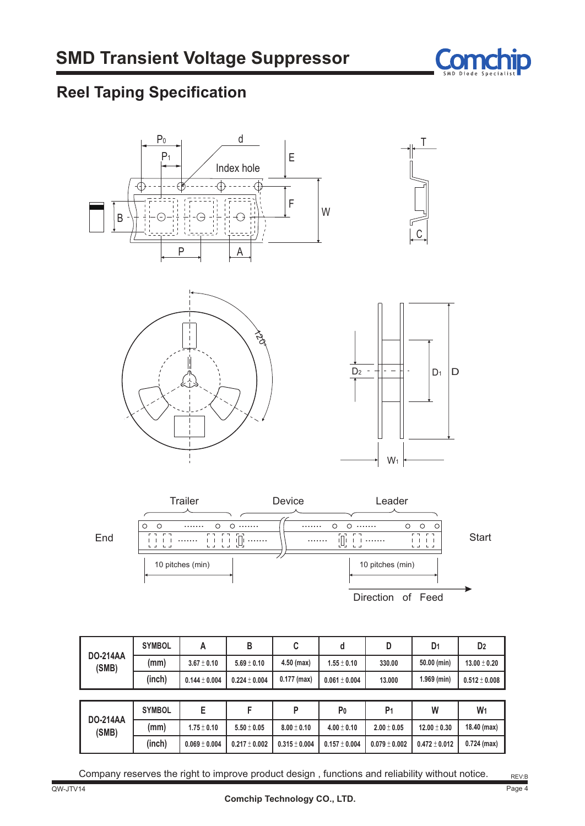

# **Reel Taping Specification**









|                          | <b>SYMBOL</b> | А                 | B                 | C               | d                 | D               | D <sub>1</sub>   | D <sub>2</sub>    |
|--------------------------|---------------|-------------------|-------------------|-----------------|-------------------|-----------------|------------------|-------------------|
| <b>DO-214AA</b><br>(SMB) | (mm)          | $3.67 \pm 0.10$   | $5.69 \pm 0.10$   | $4.50$ (max)    | $1.55 \pm 0.10$   | 330.00          | 50.00 (min)      | $13.00 \pm 0.20$  |
|                          | (inch)        | $0.144 \pm 0.004$ | $0.224 \pm 0.004$ | $0.177$ (max)   | $0.061 \pm 0.004$ | 13.000          | 1.969 (min)      | $0.512 \pm 0.008$ |
|                          |               |                   |                   |                 |                   |                 |                  |                   |
|                          |               |                   |                   |                 |                   |                 |                  |                   |
|                          | <b>SYMBOL</b> | E                 | F                 | P               | P <sub>0</sub>    | P <sub>1</sub>  | W                | W <sub>1</sub>    |
| <b>DO-214AA</b><br>(SMB) | (mm)          | $1.75 \pm 0.10$   | $5.50 \pm 0.05$   | $8.00 \pm 0.10$ | $4.00 \pm 0.10$   | $2.00 \pm 0.05$ | $12.00 \pm 0.30$ | 18.40 (max)       |

Company reserves the right to improve product design, functions and reliability without notice. REV:B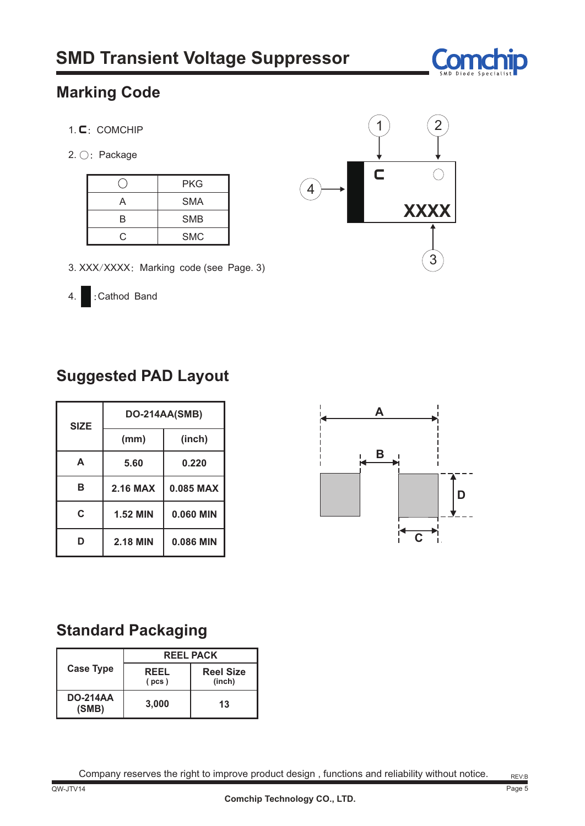

# **Marking Code**

- 1. C: COMCHIP
- 2. ○: Package

|    | <b>PKG</b> |
|----|------------|
| д  | <b>SMA</b> |
| R  | <b>SMB</b> |
| r. | <b>SMC</b> |



- 3. XXX/XXXX: Marking code (see Page. 3)
- 4. :Cathod Band

### **Suggested PAD Layout**

| <b>SIZE</b> | DO-214AA(SMB)   |           |  |
|-------------|-----------------|-----------|--|
|             | (mm)            | (inch)    |  |
| A           | 5.60            | 0.220     |  |
| в           | <b>2.16 MAX</b> | 0.085 MAX |  |
| C           | <b>1.52 MIN</b> | 0.060 MIN |  |
|             | <b>2.18 MIN</b> | 0.086 MIN |  |



### **Standard Packaging**

|                          | <b>REEL PACK</b>     |                            |  |  |
|--------------------------|----------------------|----------------------------|--|--|
| <b>Case Type</b>         | <b>REEL</b><br>(pcs) | <b>Reel Size</b><br>(inch) |  |  |
| <b>DO-214AA</b><br>(SMB) | 3.000                | 13                         |  |  |

Company reserves the right to improve product design, functions and reliability without notice. REV:B